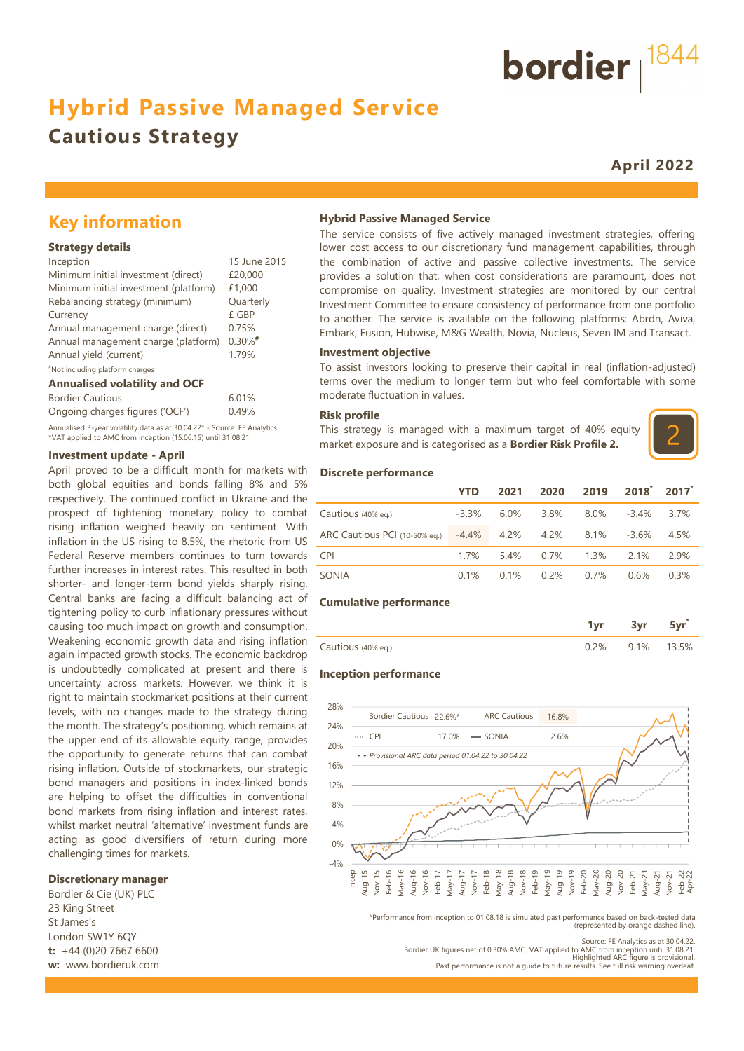## **Hybrid Passive Managed Service**

## **Cautious Strategy**

**April 2022**

## **Key information**

#### **Strategy details**

| Inception                             | 15 June 2015 |
|---------------------------------------|--------------|
| Minimum initial investment (direct)   | £20,000      |
| Minimum initial investment (platform) | £1,000       |
| Rebalancing strategy (minimum)        | Quarterly    |
| Currency                              | £ GBP        |
| Annual management charge (direct)     | 0.75%        |
| Annual management charge (platform)   | $0.30\%$ #   |
| Annual yield (current)                | 1.79%        |
| "Not including platform charges       |              |

#### **Annualised volatility and OCF**

| <b>Bordier Cautious</b>                                                  | 6.01% |
|--------------------------------------------------------------------------|-------|
| Ongoing charges figures ('OCF')                                          | 0.49% |
| Annualised 3-year volatility data as at 30.04.22* - Source: FE Analytics |       |

\*VAT applied to AMC from inception (15.06.15) until 31.08.21

#### **Investment update - April**

April proved to be a difficult month for markets with both global equities and bonds falling 8% and 5% respectively. The continued conflict in Ukraine and the prospect of tightening monetary policy to combat rising inflation weighed heavily on sentiment. With inflation in the US rising to 8.5%, the rhetoric from US Federal Reserve members continues to turn towards further increases in interest rates. This resulted in both shorter- and longer-term bond yields sharply rising. Central banks are facing a difficult balancing act of tightening policy to curb inflationary pressures without causing too much impact on growth and consumption. Weakening economic growth data and rising inflation again impacted growth stocks. The economic backdrop is undoubtedly complicated at present and there is uncertainty across markets. However, we think it is right to maintain stockmarket positions at their current levels, with no changes made to the strategy during the month. The strategy's positioning, which remains at the upper end of its allowable equity range, provides the opportunity to generate returns that can combat rising inflation. Outside of stockmarkets, our strategic bond managers and positions in index-linked bonds are helping to offset the difficulties in conventional bond markets from rising inflation and interest rates, whilst market neutral 'alternative' investment funds are acting as good diversifiers of return during more challenging times for markets.

#### **Discretionary manager**

Bordier & Cie (UK) PLC 23 King Street St James's London SW1Y 6QY **t:** +44 (0)20 7667 6600 **w:** www.bordieruk.com

#### **Hybrid Passive Managed Service**

The service consists of five actively managed investment strategies, offering lower cost access to our discretionary fund management capabilities, through the combination of active and passive collective investments. The service provides a solution that, when cost considerations are paramount, does not compromise on quality. Investment strategies are monitored by our central Investment Committee to ensure consistency of performance from one portfolio to another. The service is available on the following platforms: Abrdn, Aviva, Embark, Fusion, Hubwise, M&G Wealth, Novia, Nucleus, Seven IM and Transact.

#### **Investment objective**

To assist investors looking to preserve their capital in real (inflation-adjusted) terms over the medium to longer term but who feel comfortable with some moderate fluctuation in values.

#### **Risk profile**

This strategy is managed with a maximum target of 40% equity market exposure and is categorised as a **Bordier Risk Profile 2.**



#### **Discrete performance**

|                                          | <b>YTD</b> | 2021    | 2020      | 2019    | $2018^{\degree}$ | 2017    |
|------------------------------------------|------------|---------|-----------|---------|------------------|---------|
| Cautious (40% eq.)                       | $-3.3\%$   | $6.0\%$ | 3.8%      | $8.0\%$ | -3.4%            | 3.7%    |
| ARC Cautious PCI (10-50% eq.) -4.4% 4.2% |            |         | 4.2% 8.1% |         | -3.6%            | 4.5%    |
| <b>CPI</b>                               | 17%        | 54%     | $0.7\%$   | $1.3\%$ | 2 1%             | 2.9%    |
| SONIA                                    | $0.1\%$    | 0.1%    | 0.2%      | $0.7\%$ | 0.6%             | $0.3\%$ |

#### **Cumulative performance**

| i Cautious -<br>$(40\% \text{ eq.})$ | $\cup_{\mathcal{L}}$ | $1\%$ | ነ 5% |
|--------------------------------------|----------------------|-------|------|

#### **Inception performance**



\*Performance from inception to 01.08.18 is simulated past performance based on back-tested data (represented by orange dashed line).

Source: FE Analytics as at 30.04.22. Bordier UK figures net of 0.30% AMC. VAT applied to AMC from inception until 31.08.21. Highlighted ARC figure is provisional. Past performance is not a guide to future results. See full risk warning overleaf

bordier  $1844$